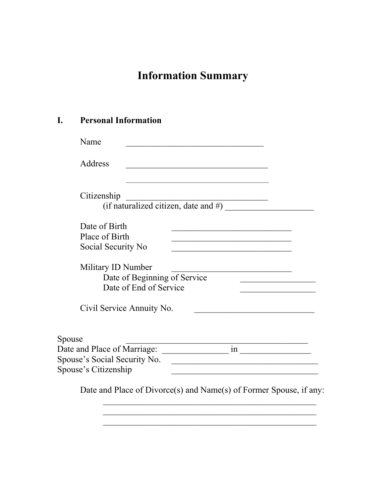# **Information Summary**

### **I. Personal Information**

| Name                                                                                                               |                                                        |                                                                                           |                                                                                                                      |                                                                    |
|--------------------------------------------------------------------------------------------------------------------|--------------------------------------------------------|-------------------------------------------------------------------------------------------|----------------------------------------------------------------------------------------------------------------------|--------------------------------------------------------------------|
| Address                                                                                                            |                                                        |                                                                                           |                                                                                                                      |                                                                    |
| Citizenship                                                                                                        |                                                        | the control of the control of the control of the control of the control of the control of | (if naturalized citizen, date and $#$ )                                                                              |                                                                    |
| Date of Birth<br>Place of Birth<br>Social Security No                                                              |                                                        |                                                                                           |                                                                                                                      |                                                                    |
| Military ID Number                                                                                                 | Date of Beginning of Service<br>Date of End of Service |                                                                                           |                                                                                                                      | the control of the control of the control of                       |
| Civil Service Annuity No.                                                                                          |                                                        |                                                                                           |                                                                                                                      |                                                                    |
| Spouse                                                                                                             |                                                        |                                                                                           |                                                                                                                      |                                                                    |
| Date and Place of Marriage: in in http://www.facebook.com/<br>Spouse's Social Security No.<br>Spouse's Citizenship |                                                        |                                                                                           | <u> 2001 - Johann John Stone, mars and de la provincia de la provincia de la provincia de la provincia de la pro</u> |                                                                    |
|                                                                                                                    |                                                        |                                                                                           |                                                                                                                      | Date and Place of Divorce(s) and Name(s) of Former Spouse, if any: |

 $\mathcal{L}_\text{max}$  , and the contract of the contract of the contract of the contract of the contract of the contract of the contract of the contract of the contract of the contract of the contract of the contract of the contr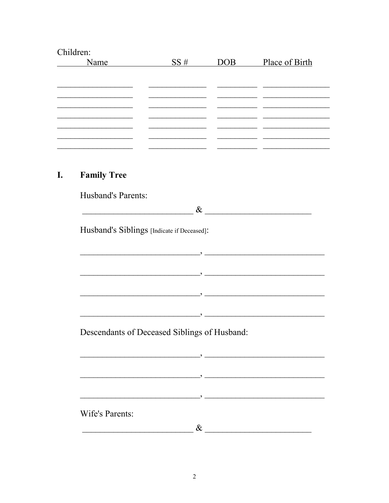| Children:                                         |                                                                                                                       |                  |                                                                            |
|---------------------------------------------------|-----------------------------------------------------------------------------------------------------------------------|------------------|----------------------------------------------------------------------------|
| Name                                              | SS#                                                                                                                   | DOB <sub>1</sub> | Place of Birth                                                             |
|                                                   |                                                                                                                       |                  |                                                                            |
|                                                   |                                                                                                                       |                  |                                                                            |
|                                                   | <u> 1989 - Johann Stein, markin fan it ferstjer fan it ferstjer fan it ferstjer fan it ferstjer fan it ferstjer f</u> |                  |                                                                            |
|                                                   |                                                                                                                       |                  |                                                                            |
|                                                   |                                                                                                                       |                  | the control of the control of the control of the control of the control of |
|                                                   |                                                                                                                       |                  |                                                                            |
|                                                   |                                                                                                                       |                  |                                                                            |
| <b>Family Tree</b>                                |                                                                                                                       |                  |                                                                            |
| <b>Husband's Parents:</b>                         |                                                                                                                       |                  |                                                                            |
| <u> 1989 - Johann Barnett, fransk politiker (</u> |                                                                                                                       |                  | $\&$                                                                       |
|                                                   |                                                                                                                       |                  |                                                                            |
|                                                   | Husband's Siblings [Indicate if Deceased]:                                                                            |                  |                                                                            |
|                                                   |                                                                                                                       |                  |                                                                            |
|                                                   |                                                                                                                       |                  |                                                                            |
|                                                   |                                                                                                                       |                  |                                                                            |
|                                                   |                                                                                                                       |                  | <u> 1980 - Johann Barbara, martxa alemaniar arg</u>                        |
|                                                   |                                                                                                                       |                  |                                                                            |
|                                                   |                                                                                                                       |                  |                                                                            |
|                                                   | Descendants of Deceased Siblings of Husband:                                                                          |                  |                                                                            |
|                                                   |                                                                                                                       |                  |                                                                            |
|                                                   |                                                                                                                       |                  |                                                                            |
|                                                   | $\overline{\phantom{a}}$ , and the set of $\overline{\phantom{a}}$ , and $\overline{\phantom{a}}$                     |                  |                                                                            |
|                                                   |                                                                                                                       |                  |                                                                            |
|                                                   |                                                                                                                       |                  |                                                                            |
| <b>Wife's Parents:</b>                            |                                                                                                                       |                  |                                                                            |
|                                                   | $\&$                                                                                                                  |                  |                                                                            |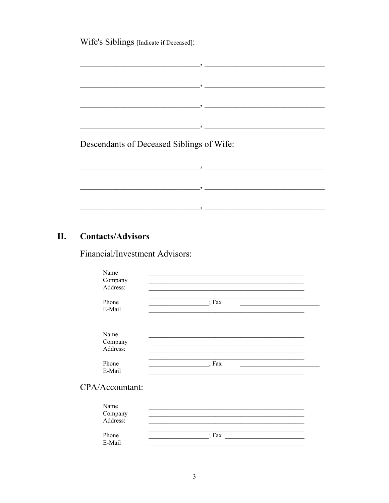Wife's Siblings [Indicate if Deceased]:

<u> 2000 - Januar Amerikaanse kommunister († 2000)</u>  $\overline{\phantom{a}}$  , and the contract of  $\overline{\phantom{a}}$  , and  $\overline{\phantom{a}}$ Descendants of Deceased Siblings of Wife: <u> 2008 - Jan James James James James James James James James James James James James James James James James J</u>

 $\hspace{0.1 cm}$  , and the contract of  $\hspace{0.1 cm}$  , and  $\hspace{0.1 cm}$  , and  $\hspace{0.1 cm}$  , and  $\hspace{0.1 cm}$ 

#### II. **Contacts/Advisors**

Financial/Investment Advisors:

| Name<br>Company<br>Address: |                  |  |
|-----------------------------|------------------|--|
| Phone<br>E-Mail             | $\therefore$ Fax |  |
| Name<br>Company<br>Address: |                  |  |
| Phone<br>E-Mail             | Fax              |  |
| CPA/Accountant:             |                  |  |
| Name                        |                  |  |

| Name                |         |
|---------------------|---------|
| Company<br>Address: |         |
|                     |         |
|                     |         |
| Phone               | $:$ Fax |
| E-Mail              |         |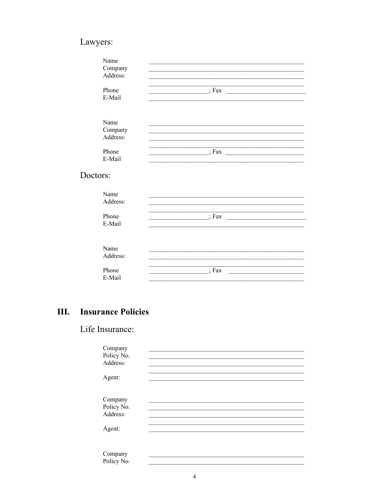# Lawyers:

| Name<br>Company     |                                                                                                                                                                                                                                                             |
|---------------------|-------------------------------------------------------------------------------------------------------------------------------------------------------------------------------------------------------------------------------------------------------------|
| Address:            |                                                                                                                                                                                                                                                             |
| Phone               | $\cdot$ $\cdot$ Fax<br><u> 1989 - John Harry Harry Harry Harry Harry Harry Harry Harry Harry Harry Harry Harry Harry Harry Harry Harry Harry Harry Harry Harry Harry Harry Harry Harry Harry Harry Harry Harry Harry Harry Harry Harry Harry Harry Harr</u> |
| E-Mail              |                                                                                                                                                                                                                                                             |
| Name                |                                                                                                                                                                                                                                                             |
| Company<br>Address: |                                                                                                                                                                                                                                                             |
| Phone               | $; Fax \_$                                                                                                                                                                                                                                                  |
| E-Mail              |                                                                                                                                                                                                                                                             |
| Doctors:            |                                                                                                                                                                                                                                                             |
| Name<br>Address:    |                                                                                                                                                                                                                                                             |
|                     |                                                                                                                                                                                                                                                             |
| Phone<br>E-Mail     | $\frac{\ }{}$ $\frac{\ }{}$                                                                                                                                                                                                                                 |
|                     |                                                                                                                                                                                                                                                             |
| Name                |                                                                                                                                                                                                                                                             |
| Address:            |                                                                                                                                                                                                                                                             |
| Phone<br>E-Mail     | $;$ Fax<br>the control of the control of the control of                                                                                                                                                                                                     |

#### III. **Insurance Policies**

Life Insurance:

| Company    |  |  |  |
|------------|--|--|--|
| Policy No. |  |  |  |
| Address:   |  |  |  |
|            |  |  |  |
| Agent:     |  |  |  |
|            |  |  |  |
| Company    |  |  |  |
| Policy No. |  |  |  |
| Address:   |  |  |  |
|            |  |  |  |
| Agent:     |  |  |  |
|            |  |  |  |
|            |  |  |  |
| Company    |  |  |  |
| Policy No. |  |  |  |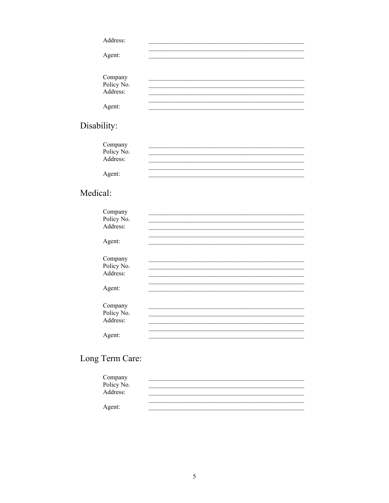| Address:                          |  |  |
|-----------------------------------|--|--|
| Agent:                            |  |  |
|                                   |  |  |
|                                   |  |  |
| Company<br>Policy No.<br>Address: |  |  |
|                                   |  |  |
| Agent:                            |  |  |

# Disability:

| Company<br>Policy No.<br>Address: |  |  |
|-----------------------------------|--|--|
|                                   |  |  |
| Agent:                            |  |  |

# Medical:

| Company    |  |  |
|------------|--|--|
| Policy No. |  |  |
| Address:   |  |  |
|            |  |  |
| Agent:     |  |  |
|            |  |  |
| Company    |  |  |
| Policy No. |  |  |
| Address:   |  |  |
|            |  |  |
| Agent:     |  |  |
|            |  |  |
| Company    |  |  |
| Policy No. |  |  |
| Address:   |  |  |
|            |  |  |
| Agent:     |  |  |
|            |  |  |

# Long Term Care:

| Company    |  |  |
|------------|--|--|
| Policy No. |  |  |
| Address:   |  |  |
|            |  |  |
| Agent:     |  |  |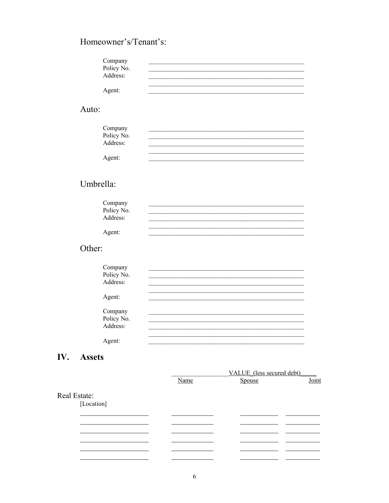# Homeowner's/Tenant's:

| Company |                                                                                                                                                                                                                                                    |
|---------|----------------------------------------------------------------------------------------------------------------------------------------------------------------------------------------------------------------------------------------------------|
|         |                                                                                                                                                                                                                                                    |
|         |                                                                                                                                                                                                                                                    |
|         |                                                                                                                                                                                                                                                    |
|         |                                                                                                                                                                                                                                                    |
|         |                                                                                                                                                                                                                                                    |
|         |                                                                                                                                                                                                                                                    |
|         |                                                                                                                                                                                                                                                    |
|         |                                                                                                                                                                                                                                                    |
|         |                                                                                                                                                                                                                                                    |
|         |                                                                                                                                                                                                                                                    |
|         |                                                                                                                                                                                                                                                    |
|         |                                                                                                                                                                                                                                                    |
|         |                                                                                                                                                                                                                                                    |
|         |                                                                                                                                                                                                                                                    |
|         |                                                                                                                                                                                                                                                    |
|         |                                                                                                                                                                                                                                                    |
|         |                                                                                                                                                                                                                                                    |
|         |                                                                                                                                                                                                                                                    |
|         |                                                                                                                                                                                                                                                    |
|         |                                                                                                                                                                                                                                                    |
|         |                                                                                                                                                                                                                                                    |
|         |                                                                                                                                                                                                                                                    |
|         |                                                                                                                                                                                                                                                    |
|         |                                                                                                                                                                                                                                                    |
|         |                                                                                                                                                                                                                                                    |
|         |                                                                                                                                                                                                                                                    |
| Agent:  |                                                                                                                                                                                                                                                    |
|         | Company<br>Policy No.<br>Address:<br>Agent:<br>Auto:<br>Policy No.<br>Address:<br>Agent:<br>Umbrella:<br>Company<br>Policy No.<br>Address:<br>Agent:<br>Other:<br>Company<br>Policy No.<br>Address:<br>Agent:<br>Company<br>Policy No.<br>Address: |

### IV. Assets

|              |      | VALUE (less secured debt) |       |  |  |
|--------------|------|---------------------------|-------|--|--|
|              | Name | Spouse                    | Joint |  |  |
| Real Estate: |      |                           |       |  |  |
| [Location]   |      |                           |       |  |  |
|              |      |                           |       |  |  |
|              |      |                           |       |  |  |
|              |      |                           |       |  |  |
|              |      |                           |       |  |  |
|              |      |                           |       |  |  |
|              |      |                           |       |  |  |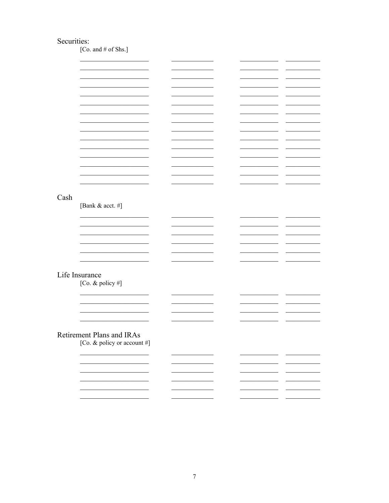### Securities:

[Co. and # of Shs.]

|      |                                                                                                                                                                                                                                      |        | <b>Contract Contract</b>                                                                                                                                                                                                             |
|------|--------------------------------------------------------------------------------------------------------------------------------------------------------------------------------------------------------------------------------------|--------|--------------------------------------------------------------------------------------------------------------------------------------------------------------------------------------------------------------------------------------|
|      |                                                                                                                                                                                                                                      |        |                                                                                                                                                                                                                                      |
|      |                                                                                                                                                                                                                                      |        |                                                                                                                                                                                                                                      |
|      | the control of the control of the control of the control of the control of                                                                                                                                                           |        | <u> De Carlos de Carlos de Carlos de Carlos de Carlos de Carlos de Carlos de Carlos de Carlos de Carlos de Carlos de Carlos de Carlos de Carlos de Carlos de Carlos de Carlos de Carlos de Carlos de Carlos de Carlos de Carlos </u> |
|      |                                                                                                                                                                                                                                      |        |                                                                                                                                                                                                                                      |
|      |                                                                                                                                                                                                                                      |        |                                                                                                                                                                                                                                      |
|      |                                                                                                                                                                                                                                      |        |                                                                                                                                                                                                                                      |
|      |                                                                                                                                                                                                                                      |        |                                                                                                                                                                                                                                      |
|      |                                                                                                                                                                                                                                      |        |                                                                                                                                                                                                                                      |
|      |                                                                                                                                                                                                                                      |        | <u> The Common State State State State State State State State State State State State State State State State State State State State State State State State State State State State State State State State State State State</u> |
|      |                                                                                                                                                                                                                                      |        |                                                                                                                                                                                                                                      |
|      |                                                                                                                                                                                                                                      |        |                                                                                                                                                                                                                                      |
|      |                                                                                                                                                                                                                                      |        |                                                                                                                                                                                                                                      |
|      | the control of the control of the control of the control of the control of the control of                                                                                                                                            | $\sim$ | <b>Contract Contract</b>                                                                                                                                                                                                             |
|      |                                                                                                                                                                                                                                      |        |                                                                                                                                                                                                                                      |
|      |                                                                                                                                                                                                                                      |        |                                                                                                                                                                                                                                      |
|      |                                                                                                                                                                                                                                      |        |                                                                                                                                                                                                                                      |
|      |                                                                                                                                                                                                                                      |        |                                                                                                                                                                                                                                      |
|      |                                                                                                                                                                                                                                      |        |                                                                                                                                                                                                                                      |
|      |                                                                                                                                                                                                                                      |        |                                                                                                                                                                                                                                      |
|      |                                                                                                                                                                                                                                      |        |                                                                                                                                                                                                                                      |
|      |                                                                                                                                                                                                                                      |        |                                                                                                                                                                                                                                      |
|      |                                                                                                                                                                                                                                      |        |                                                                                                                                                                                                                                      |
|      |                                                                                                                                                                                                                                      |        |                                                                                                                                                                                                                                      |
| Cash |                                                                                                                                                                                                                                      |        |                                                                                                                                                                                                                                      |
|      |                                                                                                                                                                                                                                      |        |                                                                                                                                                                                                                                      |
|      | [Bank & acct. #]                                                                                                                                                                                                                     |        |                                                                                                                                                                                                                                      |
|      |                                                                                                                                                                                                                                      |        |                                                                                                                                                                                                                                      |
|      | <u> The Common State State State State State State State State State State State State State State State State State State State State State State State State State State State State State State State State State State State</u> |        | and the control of the                                                                                                                                                                                                               |
|      |                                                                                                                                                                                                                                      |        |                                                                                                                                                                                                                                      |
|      |                                                                                                                                                                                                                                      |        |                                                                                                                                                                                                                                      |
|      |                                                                                                                                                                                                                                      |        |                                                                                                                                                                                                                                      |
|      |                                                                                                                                                                                                                                      |        |                                                                                                                                                                                                                                      |
|      |                                                                                                                                                                                                                                      |        |                                                                                                                                                                                                                                      |
|      |                                                                                                                                                                                                                                      |        | <b>Contract Contract</b>                                                                                                                                                                                                             |
|      |                                                                                                                                                                                                                                      |        |                                                                                                                                                                                                                                      |
|      |                                                                                                                                                                                                                                      |        |                                                                                                                                                                                                                                      |
|      |                                                                                                                                                                                                                                      |        |                                                                                                                                                                                                                                      |
|      |                                                                                                                                                                                                                                      |        |                                                                                                                                                                                                                                      |
|      |                                                                                                                                                                                                                                      |        |                                                                                                                                                                                                                                      |
|      |                                                                                                                                                                                                                                      |        |                                                                                                                                                                                                                                      |
|      | Life Insurance                                                                                                                                                                                                                       |        |                                                                                                                                                                                                                                      |
|      |                                                                                                                                                                                                                                      |        |                                                                                                                                                                                                                                      |
|      | [Co. & policy #]                                                                                                                                                                                                                     |        |                                                                                                                                                                                                                                      |
|      |                                                                                                                                                                                                                                      |        |                                                                                                                                                                                                                                      |
|      |                                                                                                                                                                                                                                      |        |                                                                                                                                                                                                                                      |
|      |                                                                                                                                                                                                                                      |        |                                                                                                                                                                                                                                      |
|      |                                                                                                                                                                                                                                      |        |                                                                                                                                                                                                                                      |
|      |                                                                                                                                                                                                                                      |        |                                                                                                                                                                                                                                      |
|      |                                                                                                                                                                                                                                      |        | <b>Contract Contract</b>                                                                                                                                                                                                             |
|      |                                                                                                                                                                                                                                      |        |                                                                                                                                                                                                                                      |
|      |                                                                                                                                                                                                                                      |        |                                                                                                                                                                                                                                      |
|      |                                                                                                                                                                                                                                      |        |                                                                                                                                                                                                                                      |
|      |                                                                                                                                                                                                                                      |        |                                                                                                                                                                                                                                      |
|      |                                                                                                                                                                                                                                      |        |                                                                                                                                                                                                                                      |
|      | Retirement Plans and IRAs                                                                                                                                                                                                            |        |                                                                                                                                                                                                                                      |
|      |                                                                                                                                                                                                                                      |        |                                                                                                                                                                                                                                      |
|      | [Co. & policy or account #]                                                                                                                                                                                                          |        |                                                                                                                                                                                                                                      |
|      |                                                                                                                                                                                                                                      |        |                                                                                                                                                                                                                                      |
|      |                                                                                                                                                                                                                                      |        |                                                                                                                                                                                                                                      |
|      |                                                                                                                                                                                                                                      |        |                                                                                                                                                                                                                                      |
|      |                                                                                                                                                                                                                                      |        |                                                                                                                                                                                                                                      |
|      |                                                                                                                                                                                                                                      |        |                                                                                                                                                                                                                                      |
|      |                                                                                                                                                                                                                                      |        |                                                                                                                                                                                                                                      |
|      |                                                                                                                                                                                                                                      |        |                                                                                                                                                                                                                                      |
|      |                                                                                                                                                                                                                                      |        |                                                                                                                                                                                                                                      |
|      |                                                                                                                                                                                                                                      |        |                                                                                                                                                                                                                                      |
|      |                                                                                                                                                                                                                                      |        |                                                                                                                                                                                                                                      |
|      |                                                                                                                                                                                                                                      |        |                                                                                                                                                                                                                                      |
|      |                                                                                                                                                                                                                                      |        |                                                                                                                                                                                                                                      |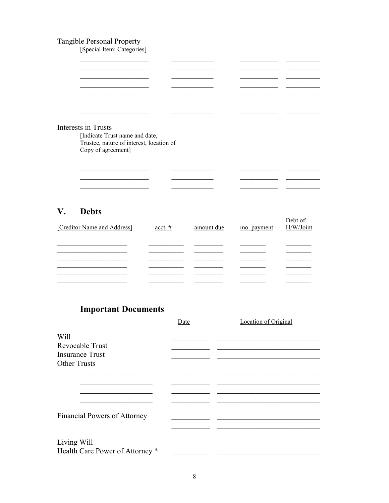# Tangible Personal Property<br>[Special Item; Categories]

| Interests in Trusts                      |  |  |  |
|------------------------------------------|--|--|--|
| [Indicate Trust name and date,           |  |  |  |
| Trustee, nature of interest, location of |  |  |  |
| Copy of agreement]                       |  |  |  |
|                                          |  |  |  |
|                                          |  |  |  |
|                                          |  |  |  |

#### $V_{\bullet}$ **Debts**

| [Creditor Name and Address] | $\underline{\text{acct}}$ . # | amount due | mo. payment | Debt of:<br>H/W/Joint |
|-----------------------------|-------------------------------|------------|-------------|-----------------------|
|                             |                               |            |             |                       |
|                             |                               |            |             |                       |
|                             |                               |            |             |                       |
|                             |                               |            |             |                       |
|                             |                               |            |             |                       |
|                             |                               |            |             |                       |

# **Important Documents**

|                                     | Date | Location of Original |
|-------------------------------------|------|----------------------|
| Will<br>Revocable Trust             |      |                      |
| <b>Insurance Trust</b>              |      |                      |
| <b>Other Trusts</b>                 |      |                      |
|                                     |      |                      |
|                                     |      |                      |
|                                     |      |                      |
| <b>Financial Powers of Attorney</b> |      |                      |
|                                     |      |                      |
| Living Will                         |      |                      |
| Health Care Power of Attorney *     |      |                      |